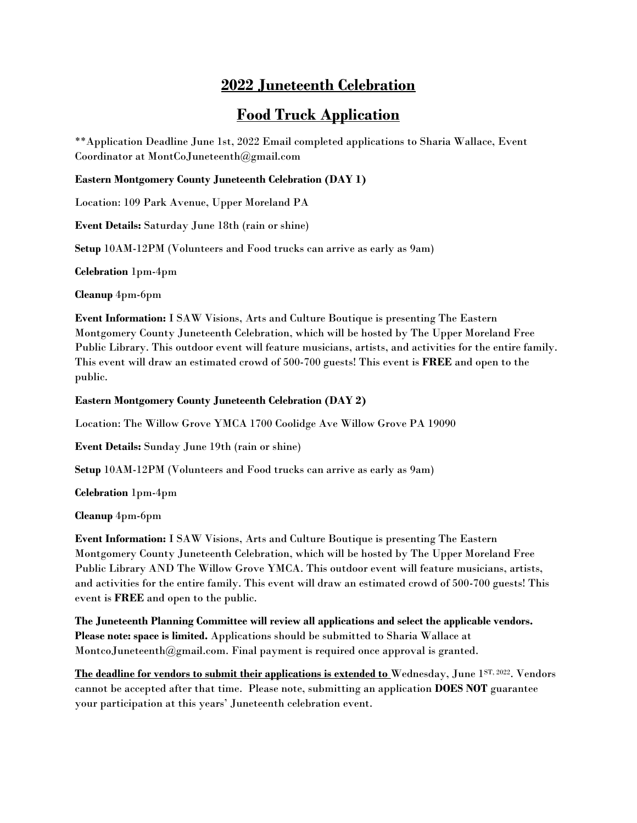# **2022 Juneteenth Celebration**

# **Food Truck Application**

\*\*Application Deadline June 1st, 2022 Email completed applications to Sharia Wallace, Event Coordinator at MontCoJuneteenth@gmail.com

#### **Eastern Montgomery County Juneteenth Celebration (DAY 1)**

Location: 109 Park Avenue, Upper Moreland PA

**Event Details:** Saturday June 18th (rain or shine)

**Setup** 10AM-12PM (Volunteers and Food trucks can arrive as early as 9am)

**Celebration** 1pm-4pm

**Cleanup** 4pm-6pm

**Event Information:** I SAW Visions, Arts and Culture Boutique is presenting The Eastern Montgomery County Juneteenth Celebration, which will be hosted by The Upper Moreland Free Public Library. This outdoor event will feature musicians, artists, and activities for the entire family. This event will draw an estimated crowd of 500-700 guests! This event is **FREE** and open to the public.

### **Eastern Montgomery County Juneteenth Celebration (DAY 2)**

Location: The Willow Grove YMCA 1700 Coolidge Ave Willow Grove PA 19090

**Event Details:** Sunday June 19th (rain or shine)

**Setup** 10AM-12PM (Volunteers and Food trucks can arrive as early as 9am)

**Celebration** 1pm-4pm

**Cleanup** 4pm-6pm

**Event Information:** I SAW Visions, Arts and Culture Boutique is presenting The Eastern Montgomery County Juneteenth Celebration, which will be hosted by The Upper Moreland Free Public Library AND The Willow Grove YMCA. This outdoor event will feature musicians, artists, and activities for the entire family. This event will draw an estimated crowd of 500-700 guests! This event is **FREE** and open to the public.

**The Juneteenth Planning Committee will review all applications and select the applicable vendors. Please note: space is limited.** Applications should be submitted to Sharia Wallace at MontcoJuneteenth@gmail.com. Final payment is required once approval is granted.

The deadline for vendors to submit their applications is extended to Wednesday, June 1<sup>ST, 2022</sup>. Vendors cannot be accepted after that time. Please note, submitting an application **DOES NOT** guarantee your participation at this years' Juneteenth celebration event.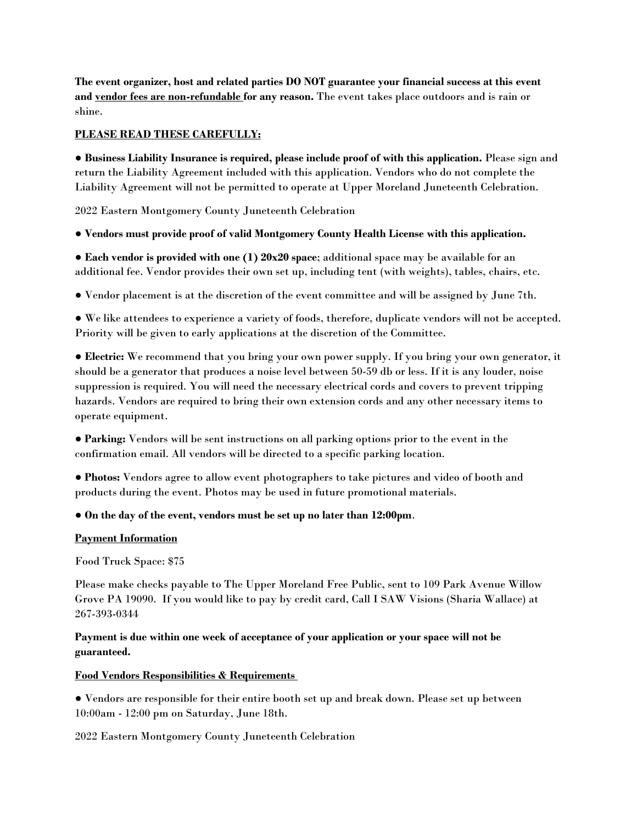**The event organizer, host and related parties DO NOT guarantee your financial success at this event and vendor fees are non-refundable for any reason.** The event takes place outdoors and is rain or shine.

## **PLEASE READ THESE CAREFULLY:**

● **Business Liability Insurance is required, please include proof of with this application.** Please sign and return the Liability Agreement included with this application. Vendors who do not complete the Liability Agreement will not be permitted to operate at Upper Moreland Juneteenth Celebration.

2022 Eastern Montgomery County Juneteenth Celebration

### ● **Vendors must provide proof of valid Montgomery County Health License with this application.**

● **Each vendor is provided with one (1) 20x20 space**; additional space may be available for an additional fee. Vendor provides their own set up, including tent (with weights), tables, chairs, etc.

● Vendor placement is at the discretion of the event committee and will be assigned by June 7th.

● We like attendees to experience a variety of foods, therefore, duplicate vendors will not be accepted. Priority will be given to early applications at the discretion of the Committee.

● **Electric:** We recommend that you bring your own power supply. If you bring your own generator, it should be a generator that produces a noise level between 50-59 db or less. If it is any louder, noise suppression is required. You will need the necessary electrical cords and covers to prevent tripping hazards. Vendors are required to bring their own extension cords and any other necessary items to operate equipment.

● **Parking:** Vendors will be sent instructions on all parking options prior to the event in the confirmation email. All vendors will be directed to a specific parking location.

● **Photos:** Vendors agree to allow event photographers to take pictures and video of booth and products during the event. Photos may be used in future promotional materials.

#### ● **On the day of the event, vendors must be set up no later than 12:00pm**.

#### **Payment Information**

Food Truck Space: \$75

Please make checks payable to The Upper Moreland Free Public, sent to 109 Park Avenue Willow Grove PA 19090. If you would like to pay by credit card, Call I SAW Visions (Sharia Wallace) at 267-393-0344

## **Payment is due within one week of acceptance of your application or your space will not be guaranteed.**

#### **Food Vendors Responsibilities & Requirements**

● Vendors are responsible for their entire booth set up and break down. Please set up between 10:00am - 12:00 pm on Saturday, June 18th.

#### 2022 Eastern Montgomery County Juneteenth Celebration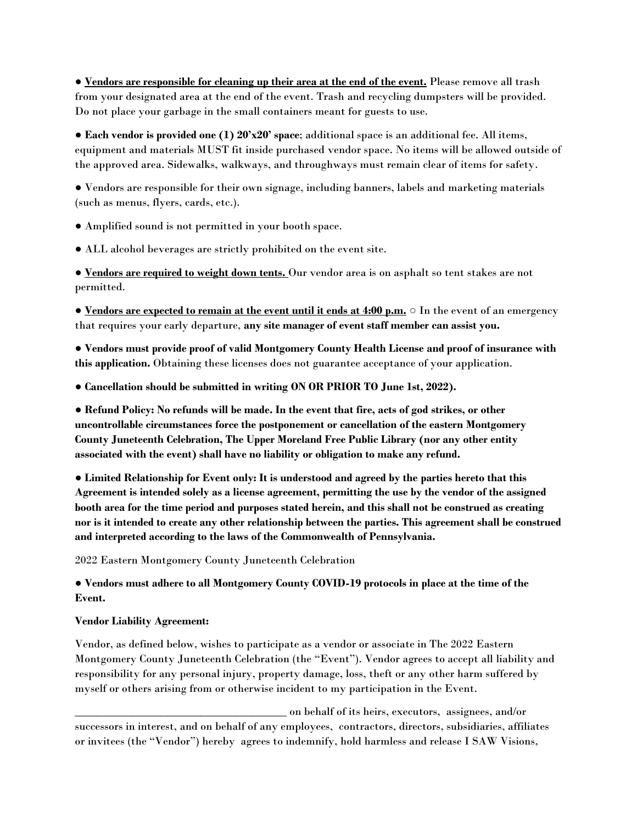● **Vendors are responsible for cleaning up their area at the end of the event.** Please remove all trash from your designated area at the end of the event. Trash and recycling dumpsters will be provided. Do not place your garbage in the small containers meant for guests to use.

● **Each vendor is provided one (1) 20'x20' space**; additional space is an additional fee. All items, equipment and materials MUST fit inside purchased vendor space. No items will be allowed outside of the approved area. Sidewalks, walkways, and throughways must remain clear of items for safety.

● Vendors are responsible for their own signage, including banners, labels and marketing materials (such as menus, flyers, cards, etc.).

● Amplified sound is not permitted in your booth space.

● ALL alcohol beverages are strictly prohibited on the event site.

● **Vendors are required to weight down tents.** Our vendor area is on asphalt so tent stakes are not permitted.

● **Vendors are expected to remain at the event until it ends at 4:00 p.m.** ○ In the event of an emergency that requires your early departure, **any site manager of event staff member can assist you.**

● **Vendors must provide proof of valid Montgomery County Health License and proof of insurance with this application.** Obtaining these licenses does not guarantee acceptance of your application.

● **Cancellation should be submitted in writing ON OR PRIOR TO June 1st, 2022).**

● **Refund Policy: No refunds will be made. In the event that fire, acts of god strikes, or other uncontrollable circumstances force the postponement or cancellation of the eastern Montgomery County Juneteenth Celebration, The Upper Moreland Free Public Library (nor any other entity associated with the event) shall have no liability or obligation to make any refund.**

● **Limited Relationship for Event only: It is understood and agreed by the parties hereto that this Agreement is intended solely as a license agreement, permitting the use by the vendor of the assigned booth area for the time period and purposes stated herein, and this shall not be construed as creating nor is it intended to create any other relationship between the parties. This agreement shall be construed and interpreted according to the laws of the Commonwealth of Pennsylvania.**

2022 Eastern Montgomery County Juneteenth Celebration

● **Vendors must adhere to all Montgomery County COVID-19 protocols in place at the time of the Event.**

#### **Vendor Liability Agreement:**

Vendor, as defined below, wishes to participate as a vendor or associate in The 2022 Eastern Montgomery County Juneteenth Celebration (the "Event"). Vendor agrees to accept all liability and responsibility for any personal injury, property damage, loss, theft or any other harm suffered by myself or others arising from or otherwise incident to my participation in the Event.

\_\_\_\_\_\_\_\_\_\_\_\_\_\_\_\_\_\_\_\_\_\_\_\_\_\_\_\_\_\_\_\_\_\_\_\_\_ on behalf of its heirs, executors, assignees, and/or successors in interest, and on behalf of any employees, contractors, directors, subsidiaries, affiliates or invitees (the "Vendor") hereby agrees to indemnify, hold harmless and release I SAW Visions,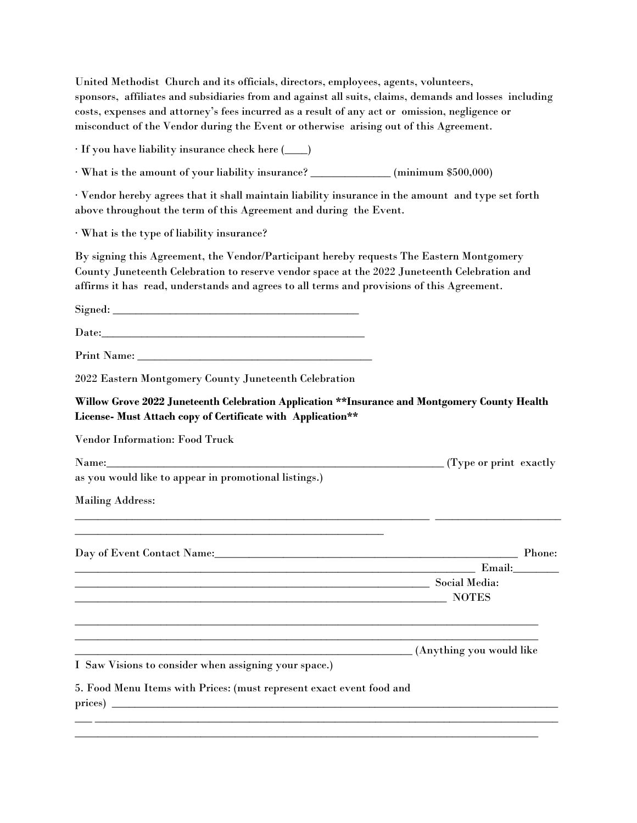United Methodist Church and its officials, directors, employees, agents, volunteers, sponsors, affiliates and subsidiaries from and against all suits, claims, demands and losses including costs, expenses and attorney's fees incurred as a result of any act or omission, negligence or misconduct of the Vendor during the Event or otherwise arising out of this Agreement.

∙ If you have liability insurance check here (\_\_\_\_)

∙ What is the amount of your liability insurance? \_\_\_\_\_\_\_\_\_\_\_\_\_\_ (minimum \$500,000)

∙ Vendor hereby agrees that it shall maintain liability insurance in the amount and type set forth above throughout the term of this Agreement and during the Event.

∙ What is the type of liability insurance?

By signing this Agreement, the Vendor/Participant hereby requests The Eastern Montgomery County Juneteenth Celebration to reserve vendor space at the 2022 Juneteenth Celebration and affirms it has read, understands and agrees to all terms and provisions of this Agreement.

Signed: \_\_\_\_\_\_\_\_\_\_\_\_\_\_\_\_\_\_\_\_\_\_\_\_\_\_\_\_\_\_\_\_\_\_\_\_\_\_\_\_\_\_\_

Date:\_\_\_\_\_\_\_\_\_\_\_\_\_\_\_\_\_\_\_\_\_\_\_\_\_\_\_\_\_\_\_\_\_\_\_\_\_\_\_\_\_\_\_\_\_\_

Print Name: \_\_\_\_\_\_\_\_\_\_\_\_\_\_\_\_\_\_\_\_\_\_\_\_\_\_\_\_\_\_\_\_\_\_\_\_\_\_\_\_\_

2022 Eastern Montgomery County Juneteenth Celebration

**Willow Grove 2022 Juneteenth Celebration Application \*\*Insurance and Montgomery County Health License- Must Attach copy of Certificate with Application\*\*** 

Vendor Information: Food Truck

| Name: |   |  |  |  |  |  | . exactly<br>' vpe or print |
|-------|---|--|--|--|--|--|-----------------------------|
|       | . |  |  |  |  |  |                             |

\_\_\_\_\_\_\_\_\_\_\_\_\_\_\_\_\_\_\_\_\_\_\_\_\_\_\_\_\_\_\_\_\_\_\_\_\_\_\_\_\_\_\_\_\_\_\_\_\_\_\_\_\_\_\_\_\_\_\_\_\_\_ \_\_\_\_\_\_\_\_\_\_\_\_\_\_\_\_\_\_\_\_\_\_

\_\_\_\_\_\_\_\_\_\_\_\_\_\_\_\_\_\_\_\_\_\_\_\_\_\_\_\_\_\_\_\_\_\_\_\_\_\_\_\_\_\_\_\_\_\_\_\_\_\_\_\_\_\_\_\_\_\_\_\_\_\_\_\_\_\_\_\_\_\_\_\_\_\_\_\_\_\_\_\_\_ \_\_\_\_\_\_\_\_\_\_\_\_\_\_\_\_\_\_\_\_\_\_\_\_\_\_\_\_\_\_\_\_\_\_\_\_\_\_\_\_\_\_\_\_\_\_\_\_\_\_\_\_\_\_\_\_\_\_\_\_\_\_\_\_\_\_\_\_\_\_\_\_\_\_\_\_\_\_\_\_\_

\_\_\_ \_\_\_\_\_\_\_\_\_\_\_\_\_\_\_\_\_\_\_\_\_\_\_\_\_\_\_\_\_\_\_\_\_\_\_\_\_\_\_\_\_\_\_\_\_\_\_\_\_\_\_\_\_\_\_\_\_\_\_\_\_\_\_\_\_\_\_\_\_\_\_\_\_\_\_\_\_\_\_\_\_ \_\_\_\_\_\_\_\_\_\_\_\_\_\_\_\_\_\_\_\_\_\_\_\_\_\_\_\_\_\_\_\_\_\_\_\_\_\_\_\_\_\_\_\_\_\_\_\_\_\_\_\_\_\_\_\_\_\_\_\_\_\_\_\_\_\_\_\_\_\_\_\_\_\_\_\_\_\_\_\_\_

as you would like to appear in promotional listings.)

\_\_\_\_\_\_\_\_\_\_\_\_\_\_\_\_\_\_\_\_\_\_\_\_\_\_\_\_\_\_\_\_\_\_\_\_\_\_\_\_\_\_\_\_\_\_\_\_\_\_\_\_\_\_

Mailing Address:

Day of Event Contact Name:\_\_\_\_\_\_\_\_\_\_\_\_\_\_\_\_\_\_\_\_\_\_\_\_\_\_\_\_\_\_\_\_\_\_\_\_\_\_\_\_\_\_\_\_\_\_\_\_\_\_\_\_\_ Phone:

 $Email:$ 

\_\_\_\_\_\_\_\_\_\_\_\_\_\_\_\_\_\_\_\_\_\_\_\_\_\_\_\_\_\_\_\_\_\_\_\_\_\_\_\_\_\_\_\_\_\_\_\_\_\_\_\_\_\_\_\_\_\_\_\_\_\_ Social Media: \_\_\_\_\_\_\_\_\_\_\_\_\_\_\_\_\_\_\_\_\_\_\_\_\_\_\_\_\_\_\_\_\_\_\_\_\_\_\_\_\_\_\_\_\_\_\_\_\_\_\_\_\_\_\_\_\_\_\_\_\_\_\_\_\_ NOTES

\_\_\_\_\_\_\_\_\_\_\_\_\_\_\_\_\_\_\_\_\_\_\_\_\_\_\_\_\_\_\_\_\_\_\_\_\_\_\_\_\_\_\_\_\_\_\_\_\_\_\_\_\_\_\_\_\_\_\_ (Anything you would like

I Saw Visions to consider when assigning your space.)

5. Food Menu Items with Prices: (must represent exact event food and  $_{\text{prices)}}$   $\_\_$